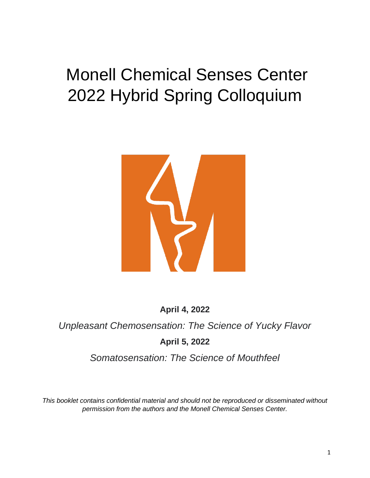# Monell Chemical Senses Center 2022 Hybrid Spring Colloquium



**April 4, 2022**

*Unpleasant Chemosensation: The Science of Yucky Flavor*

**April 5, 2022**

*Somatosensation: The Science of Mouthfeel*

*This booklet contains confidential material and should not be reproduced or disseminated without permission from the authors and the Monell Chemical Senses Center.*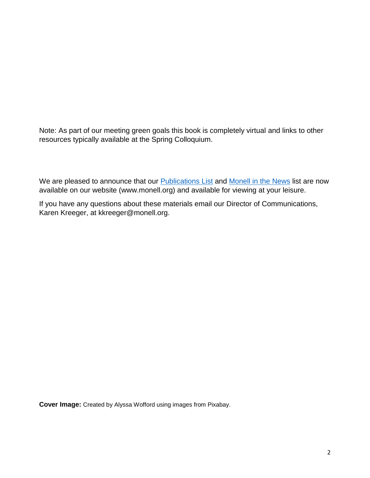Note: As part of our meeting green goals this book is completely virtual and links to other resources typically available at the Spring Colloquium.

We are pleased to announce that our **Publications List and [Monell in the News](https://monell.org/media-mentions/)** list are now available on our website (www.monell.org) and available for viewing at your leisure.

If you have any questions about these materials email our Director of Communications, Karen Kreeger, at kkreeger@monell.org.

**Cover Image:** Created by Alyssa Wofford using images from Pixabay.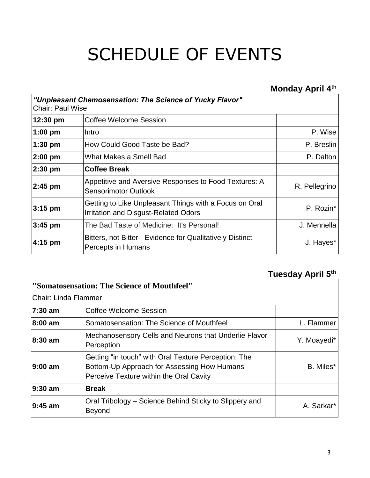# SCHEDULE OF EVENTS

## **Monday April 4th**

| "Unpleasant Chemosensation: The Science of Yucky Flavor"<br><b>Chair: Paul Wise</b> |                                                                                                |               |
|-------------------------------------------------------------------------------------|------------------------------------------------------------------------------------------------|---------------|
| 12:30 pm                                                                            | <b>Coffee Welcome Session</b>                                                                  |               |
| 1:00 pm                                                                             | Intro                                                                                          | P. Wise       |
| 1:30 pm                                                                             | How Could Good Taste be Bad?                                                                   | P. Breslin    |
| $2:00$ pm                                                                           | What Makes a Smell Bad                                                                         | P. Dalton     |
| $2:30$ pm                                                                           | <b>Coffee Break</b>                                                                            |               |
| 2:45 pm                                                                             | Appetitive and Aversive Responses to Food Textures: A<br><b>Sensorimotor Outlook</b>           | R. Pellegrino |
| $3:15$ pm                                                                           | Getting to Like Unpleasant Things with a Focus on Oral<br>Irritation and Disgust-Related Odors | P. Rozin*     |
| $3:45$ pm                                                                           | The Bad Taste of Medicine: It's Personal!                                                      | J. Mennella   |
| 4:15 pm                                                                             | Bitters, not Bitter - Evidence for Qualitatively Distinct<br>Percepts in Humans                | J. Hayes*     |

## **Tuesday April 5th**

| "Somatosensation: The Science of Mouthfeel" |                                                                                                                                                |             |
|---------------------------------------------|------------------------------------------------------------------------------------------------------------------------------------------------|-------------|
| lChair: Linda Flammer                       |                                                                                                                                                |             |
| 7:30 am                                     | Coffee Welcome Session                                                                                                                         |             |
| 8:00 am                                     | Somatosensation: The Science of Mouthfeel                                                                                                      | L. Flammer  |
| 8:30 am                                     | Mechanosensory Cells and Neurons that Underlie Flavor<br>Perception                                                                            | Y. Moayedi* |
| 9:00 am                                     | Getting "in touch" with Oral Texture Perception: The<br>Bottom-Up Approach for Assessing How Humans<br>Perceive Texture within the Oral Cavity | B. Miles*   |
| 9:30 am                                     | <b>Break</b>                                                                                                                                   |             |
| 9:45 am                                     | Oral Tribology – Science Behind Sticky to Slippery and<br>Beyond                                                                               | A. Sarkar*  |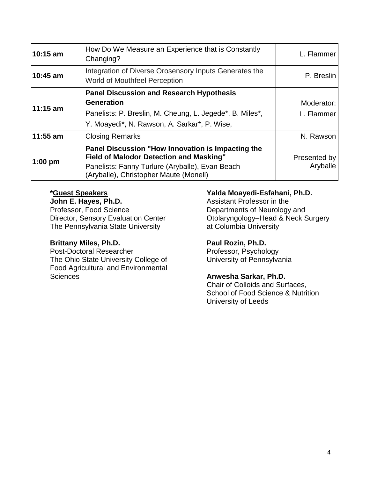| 10:15 am  | How Do We Measure an Experience that is Constantly<br>Changing?                                                                                                                                  | L. Flammer               |
|-----------|--------------------------------------------------------------------------------------------------------------------------------------------------------------------------------------------------|--------------------------|
| 10:45 am  | Integration of Diverse Orosensory Inputs Generates the<br>World of Mouthfeel Perception                                                                                                          | P. Breslin               |
| 11:15 am  | <b>Panel Discussion and Research Hypothesis</b><br><b>Generation</b><br>Panelists: P. Breslin, M. Cheung, L. Jegede*, B. Miles*,<br>Y. Moayedi*, N. Rawson, A. Sarkar*, P. Wise,                 | Moderator:<br>L. Flammer |
| 11:55 am  | <b>Closing Remarks</b>                                                                                                                                                                           | N. Rawson                |
| $1:00$ pm | Panel Discussion "How Innovation is Impacting the<br><b>Field of Malodor Detection and Masking"</b><br>Panelists: Fanny Turlure (Aryballe), Evan Beach<br>(Aryballe), Christopher Maute (Monell) | Presented by<br>Aryballe |

#### **\*Guest Speakers**

**John E. Hayes, Ph.D.** Professor, Food Science Director, Sensory Evaluation Center The Pennsylvania State University

#### **Brittany Miles, Ph.D.**

Post-Doctoral Researcher The Ohio State University College of Food Agricultural and Environmental **Sciences** 

#### **Yalda Moayedi-Esfahani, Ph.D.**

Assistant Professor in the Departments of Neurology and Otolaryngology–Head & Neck Surgery at Columbia University

#### **Paul Rozin, Ph.D.**

Professor, Psychology University of Pennsylvania

#### **Anwesha Sarkar, Ph.D.**

Chair of Colloids and Surfaces, School of Food Science & Nutrition University of Leeds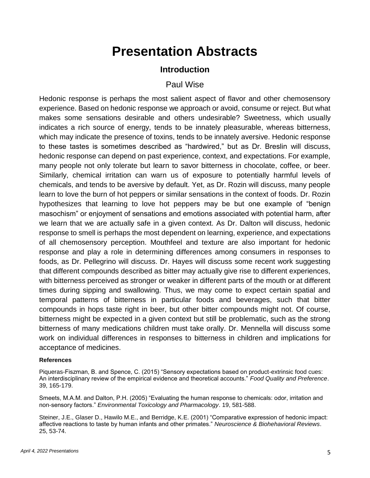## **Presentation Abstracts**

#### **Introduction**

#### Paul Wise

Hedonic response is perhaps the most salient aspect of flavor and other chemosensory experience. Based on hedonic response we approach or avoid, consume or reject. But what makes some sensations desirable and others undesirable? Sweetness, which usually indicates a rich source of energy, tends to be innately pleasurable, whereas bitterness, which may indicate the presence of toxins, tends to be innately aversive. Hedonic response to these tastes is sometimes described as "hardwired," but as Dr. Breslin will discuss, hedonic response can depend on past experience, context, and expectations. For example, many people not only tolerate but learn to savor bitterness in chocolate, coffee, or beer. Similarly, chemical irritation can warn us of exposure to potentially harmful levels of chemicals, and tends to be aversive by default. Yet, as Dr. Rozin will discuss, many people learn to love the burn of hot peppers or similar sensations in the context of foods. Dr. Rozin hypothesizes that learning to love hot peppers may be but one example of "benign masochism" or enjoyment of sensations and emotions associated with potential harm, after we learn that we are actually safe in a given context. As Dr. Dalton will discuss, hedonic response to smell is perhaps the most dependent on learning, experience, and expectations of all chemosensory perception. Mouthfeel and texture are also important for hedonic response and play a role in determining differences among consumers in responses to foods, as Dr. Pellegrino will discuss. Dr. Hayes will discuss some recent work suggesting that different compounds described as bitter may actually give rise to different experiences, with bitterness perceived as stronger or weaker in different parts of the mouth or at different times during sipping and swallowing. Thus, we may come to expect certain spatial and temporal patterns of bitterness in particular foods and beverages, such that bitter compounds in hops taste right in beer, but other bitter compounds might not. Of course, bitterness might be expected in a given context but still be problematic, such as the strong bitterness of many medications children must take orally. Dr. Mennella will discuss some work on individual differences in responses to bitterness in children and implications for acceptance of medicines.

#### **References**

Piqueras-Fiszman, B. and Spence, C. (2015) "Sensory expectations based on product-extrinsic food cues: An interdisciplinary review of the empirical evidence and theoretical accounts." *Food Quality and Preference*. 39, 165-179.

Smeets, M.A.M. and Dalton, P.H. (2005) "Evaluating the human response to chemicals: odor, irritation and non-sensory factors." *Environmental Toxicology and Pharmacology*. 19, 581-588.

Steiner, J.E., Glaser D., Hawilo M.E., and Berridge, K.E. (2001) "Comparative expression of hedonic impact: affective reactions to taste by human infants and other primates." *Neuroscience & Biohehavioral Reviews*. 25, 53-74.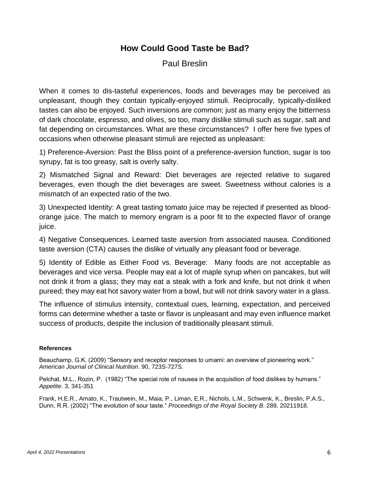#### **How Could Good Taste be Bad?**

#### Paul Breslin

When it comes to dis-tasteful experiences, foods and beverages may be perceived as unpleasant, though they contain typically-enjoyed stimuli. Reciprocally, typically-disliked tastes can also be enjoyed. Such inversions are common; just as many enjoy the bitterness of dark chocolate, espresso, and olives, so too, many dislike stimuli such as sugar, salt and fat depending on circumstances. What are these circumstances? I offer here five types of occasions when otherwise pleasant stimuli are rejected as unpleasant:

1) Preference-Aversion: Past the Bliss point of a preference-aversion function, sugar is too syrupy, fat is too greasy, salt is overly salty.

2) Mismatched Signal and Reward: Diet beverages are rejected relative to sugared beverages, even though the diet beverages are sweet. Sweetness without calories is a mismatch of an expected ratio of the two.

3) Unexpected Identity: A great tasting tomato juice may be rejected if presented as bloodorange juice. The match to memory engram is a poor fit to the expected flavor of orange juice.

4) Negative Consequences. Learned taste aversion from associated nausea. Conditioned taste aversion (CTA) causes the dislike of virtually any pleasant food or beverage.

5) Identity of Edible as Either Food vs. Beverage: Many foods are not acceptable as beverages and vice versa. People may eat a lot of maple syrup when on pancakes, but will not drink it from a glass; they may eat a steak with a fork and knife, but not drink it when pureed; they may eat hot savory water from a bowl, but will not drink savory water in a glass.

The influence of stimulus intensity, contextual cues, learning, expectation, and perceived forms can determine whether a taste or flavor is unpleasant and may even influence market success of products, despite the inclusion of traditionally pleasant stimuli.

#### **References**

Beauchamp, G.K. (2009) "Sensory and receptor responses to umami: an overview of pioneering work." *American Journal of Clinical Nutrition*. 90, 723S-727S.

Pelchat, M.L., Rozin, P. (1982) "The special role of nausea in the acquisition of food dislikes by humans." *Appetite*. 3, 341-351

Frank, H.E.R., Amato, K., Trautwein, M., Maia, P., Liman, E.R., Nichols, L.M., Schwenk, K., Breslin, P.A.S., Dunn, R.R. (2002) "The evolution of sour taste." *Proceedings of the Royal Society B*. 289, 20211918.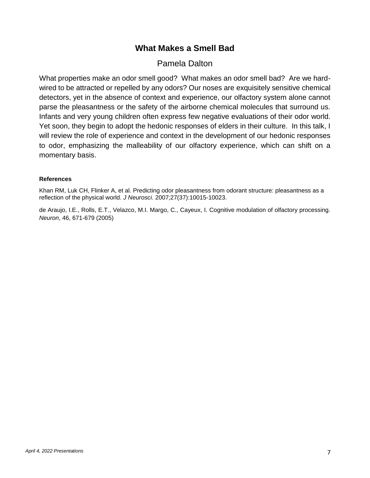#### **What Makes a Smell Bad**

#### Pamela Dalton

What properties make an odor smell good? What makes an odor smell bad? Are we hardwired to be attracted or repelled by any odors? Our noses are exquisitely sensitive chemical detectors, yet in the absence of context and experience, our olfactory system alone cannot parse the pleasantness or the safety of the airborne chemical molecules that surround us. Infants and very young children often express few negative evaluations of their odor world. Yet soon, they begin to adopt the hedonic responses of elders in their culture. In this talk, I will review the role of experience and context in the development of our hedonic responses to odor, emphasizing the malleability of our olfactory experience, which can shift on a momentary basis.

#### **References**

Khan RM, Luk CH, Flinker A, et al. Predicting odor pleasantness from odorant structure: pleasantness as a reflection of the physical world. *J Neurosci*. 2007;27(37):10015-10023.

de Araujo, I.E., Rolls, E.T., Velazco, M.I. Margo, C., Cayeux, I. Cognitive modulation of olfactory processing. *Neuron*, 46, 671-679 (2005)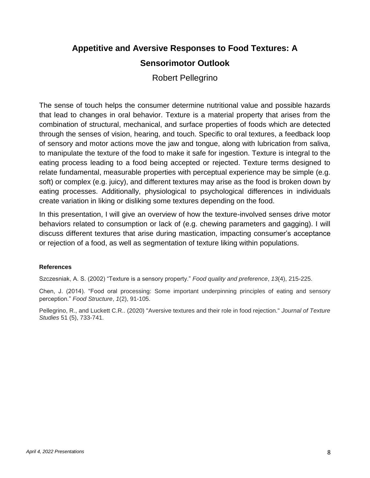### **Appetitive and Aversive Responses to Food Textures: A Sensorimotor Outlook**

### Robert Pellegrino

The sense of touch helps the consumer determine nutritional value and possible hazards that lead to changes in oral behavior. Texture is a material property that arises from the combination of structural, mechanical, and surface properties of foods which are detected through the senses of vision, hearing, and touch. Specific to oral textures, a feedback loop of sensory and motor actions move the jaw and tongue, along with lubrication from saliva, to manipulate the texture of the food to make it safe for ingestion. Texture is integral to the eating process leading to a food being accepted or rejected. Texture terms designed to relate fundamental, measurable properties with perceptual experience may be simple (e.g. soft) or complex (e.g. juicy), and different textures may arise as the food is broken down by eating processes. Additionally, physiological to psychological differences in individuals create variation in liking or disliking some textures depending on the food.

In this presentation, I will give an overview of how the texture-involved senses drive motor behaviors related to consumption or lack of (e.g. chewing parameters and gagging). I will discuss different textures that arise during mastication, impacting consumer's acceptance or rejection of a food, as well as segmentation of texture liking within populations.

#### **References**

Szczesniak, A. S. (2002) "Texture is a sensory property." *Food quality and preference*, *13*(4), 215-225.

Chen, J. (2014). "Food oral processing: Some important underpinning principles of eating and sensory perception." *Food Structure*, *1*(2), 91-105.

Pellegrino, R., and Luckett C.R.. (2020) "Aversive textures and their role in food rejection." *Journal of Texture Studies* 51 (5), 733-741.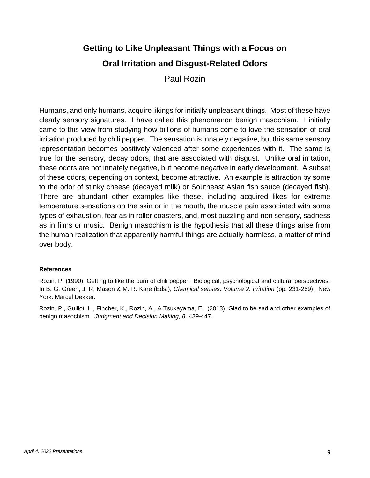## **Getting to Like Unpleasant Things with a Focus on Oral Irritation and Disgust-Related Odors**

Paul Rozin

Humans, and only humans, acquire likings for initially unpleasant things. Most of these have clearly sensory signatures. I have called this phenomenon benign masochism. I initially came to this view from studying how billions of humans come to love the sensation of oral irritation produced by chili pepper. The sensation is innately negative, but this same sensory representation becomes positively valenced after some experiences with it. The same is true for the sensory, decay odors, that are associated with disgust. Unlike oral irritation, these odors are not innately negative, but become negative in early development. A subset of these odors, depending on context, become attractive. An example is attraction by some to the odor of stinky cheese (decayed milk) or Southeast Asian fish sauce (decayed fish). There are abundant other examples like these, including acquired likes for extreme temperature sensations on the skin or in the mouth, the muscle pain associated with some types of exhaustion, fear as in roller coasters, and, most puzzling and non sensory, sadness as in films or music. Benign masochism is the hypothesis that all these things arise from the human realization that apparently harmful things are actually harmless, a matter of mind over body.

#### **References**

Rozin, P. (1990). Getting to like the burn of chili pepper: Biological, psychological and cultural perspectives. In B. G. Green, J. R. Mason & M. R. Kare (Eds.), *Chemical senses, Volume 2: Irritation* (pp. 231-269). New York: Marcel Dekker.

Rozin, P., Guillot, L., Fincher, K., Rozin, A., & Tsukayama, E. (2013). Glad to be sad and other examples of benign masochism. *Judgment and Decision Making, 8,* 439-447.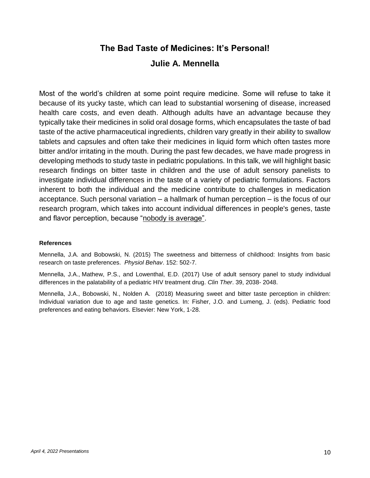#### **The Bad Taste of Medicines: It's Personal!**

#### **Julie A. Mennella**

Most of the world's children at some point require medicine. Some will refuse to take it because of its yucky taste, which can lead to substantial worsening of disease, increased health care costs, and even death. Although adults have an advantage because they typically take their medicines in solid oral dosage forms, which encapsulates the taste of bad taste of the active pharmaceutical ingredients, children vary greatly in their ability to swallow tablets and capsules and often take their medicines in liquid form which often tastes more bitter and/or irritating in the mouth. During the past few decades, we have made progress in developing methods to study taste in pediatric populations. In this talk, we will highlight basic research findings on bitter taste in children and the use of adult sensory panelists to investigate individual differences in the taste of a variety of pediatric formulations. Factors inherent to both the individual and the medicine contribute to challenges in medication acceptance. Such personal variation – a hallmark of human perception – is the focus of our research program, which takes into account individual differences in people's genes, taste and flavor perception, because "nobody is average".

#### **References**

Mennella, J.A. and Bobowski, N. (2015) The sweetness and bitterness of childhood: Insights from basic research on taste preferences. *Physiol Behav*. 152: 502-7.

Mennella, J.A., Mathew, P.S., and Lowenthal, E.D. (2017) Use of adult sensory panel to study individual differences in the palatability of a pediatric HIV treatment drug. *Clin Ther*. 39, 2038- 2048.

Mennella, J.A., Bobowski, N., Nolden A. (2018) Measuring sweet and bitter taste perception in children: Individual variation due to age and taste genetics. In: Fisher, J.O. and Lumeng, J. (eds). Pediatric food preferences and eating behaviors. Elsevier: New York, 1-28.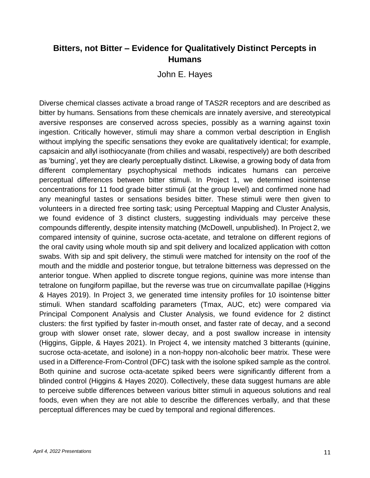#### **Bitters, not Bitter – Evidence for Qualitatively Distinct Percepts in Humans**

John E. Hayes

Diverse chemical classes activate a broad range of TAS2R receptors and are described as bitter by humans. Sensations from these chemicals are innately aversive, and stereotypical aversive responses are conserved across species, possibly as a warning against toxin ingestion. Critically however, stimuli may share a common verbal description in English without implying the specific sensations they evoke are qualitatively identical; for example, capsaicin and allyl isothiocyanate (from chilies and wasabi, respectively) are both described as 'burning', yet they are clearly perceptually distinct. Likewise, a growing body of data from different complementary psychophysical methods indicates humans can perceive perceptual differences between bitter stimuli. In Project 1, we determined isointense concentrations for 11 food grade bitter stimuli (at the group level) and confirmed none had any meaningful tastes or sensations besides bitter. These stimuli were then given to volunteers in a directed free sorting task; using Perceptual Mapping and Cluster Analysis, we found evidence of 3 distinct clusters, suggesting individuals may perceive these compounds differently, despite intensity matching (McDowell, unpublished). In Project 2, we compared intensity of quinine, sucrose octa-acetate, and tetralone on different regions of the oral cavity using whole mouth sip and spit delivery and localized application with cotton swabs. With sip and spit delivery, the stimuli were matched for intensity on the roof of the mouth and the middle and posterior tongue, but tetralone bitterness was depressed on the anterior tongue. When applied to discrete tongue regions, quinine was more intense than tetralone on fungiform papillae, but the reverse was true on circumvallate papillae (Higgins & Hayes 2019). In Project 3, we generated time intensity profiles for 10 isointense bitter stimuli. When standard scaffolding parameters (Tmax, AUC, etc) were compared via Principal Component Analysis and Cluster Analysis, we found evidence for 2 distinct clusters: the first typified by faster in-mouth onset, and faster rate of decay, and a second group with slower onset rate, slower decay, and a post swallow increase in intensity (Higgins, Gipple, & Hayes 2021). In Project 4, we intensity matched 3 bitterants (quinine, sucrose octa-acetate, and isolone) in a non-hoppy non-alcoholic beer matrix. These were used in a Difference-From-Control (DFC) task with the isolone spiked sample as the control. Both quinine and sucrose octa-acetate spiked beers were significantly different from a blinded control (Higgins & Hayes 2020). Collectively, these data suggest humans are able to perceive subtle differences between various bitter stimuli in aqueous solutions and real foods, even when they are not able to describe the differences verbally, and that these perceptual differences may be cued by temporal and regional differences.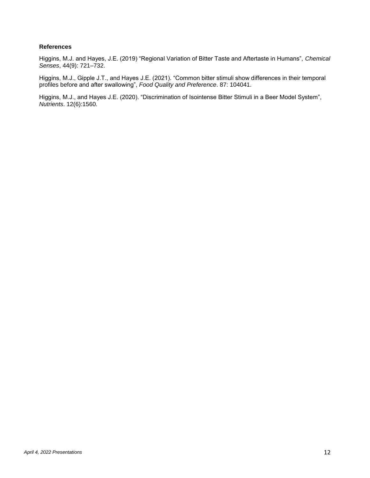#### **References**

Higgins, M.J. and Hayes, J.E. (2019) "Regional Variation of Bitter Taste and Aftertaste in Humans", *Chemical Senses*, 44(9): 721–732.

Higgins, M.J., Gipple J.T., and Hayes J.E. (2021). "Common bitter stimuli show differences in their temporal profiles before and after swallowing", *Food Quality and Preference*. 87: 104041.

Higgins, M.J., and Hayes J.E. (2020). "Discrimination of Isointense Bitter Stimuli in a Beer Model System", *Nutrients*. 12(6):1560.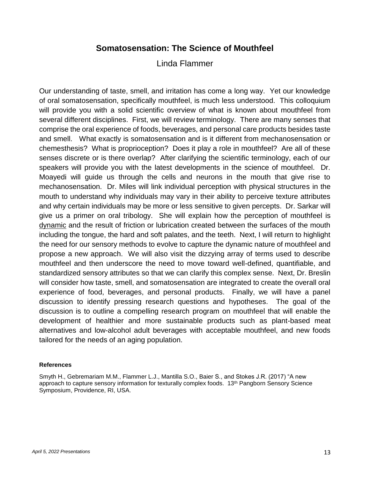#### **Somatosensation: The Science of Mouthfeel**

#### Linda Flammer

Our understanding of taste, smell, and irritation has come a long way. Yet our knowledge of oral somatosensation, specifically mouthfeel, is much less understood. This colloquium will provide you with a solid scientific overview of what is known about mouthfeel from several different disciplines. First, we will review terminology. There are many senses that comprise the oral experience of foods, beverages, and personal care products besides taste and smell. What exactly is somatosensation and is it different from mechanosensation or chemesthesis? What is proprioception? Does it play a role in mouthfeel? Are all of these senses discrete or is there overlap? After clarifying the scientific terminology, each of our speakers will provide you with the latest developments in the science of mouthfeel. Dr. Moayedi will guide us through the cells and neurons in the mouth that give rise to mechanosensation. Dr. Miles will link individual perception with physical structures in the mouth to understand why individuals may vary in their ability to perceive texture attributes and why certain individuals may be more or less sensitive to given percepts. Dr. Sarkar will give us a primer on oral tribology. She will explain how the perception of mouthfeel is dynamic and the result of friction or lubrication created between the surfaces of the mouth including the tongue, the hard and soft palates, and the teeth. Next, I will return to highlight the need for our sensory methods to evolve to capture the dynamic nature of mouthfeel and propose a new approach. We will also visit the dizzying array of terms used to describe mouthfeel and then underscore the need to move toward well-defined, quantifiable, and standardized sensory attributes so that we can clarify this complex sense. Next, Dr. Breslin will consider how taste, smell, and somatosensation are integrated to create the overall oral experience of food, beverages, and personal products. Finally, we will have a panel discussion to identify pressing research questions and hypotheses. The goal of the discussion is to outline a compelling research program on mouthfeel that will enable the development of healthier and more sustainable products such as plant-based meat alternatives and low-alcohol adult beverages with acceptable mouthfeel, and new foods tailored for the needs of an aging population.

#### **References**

Smyth H., Gebremariam M.M., Flammer L.J., Mantilla S.O., Baier S., and Stokes J.R. (2017) "A new approach to capture sensory information for texturally complex foods. 13<sup>th</sup> Pangborn Sensory Science Symposium, Providence, RI, USA.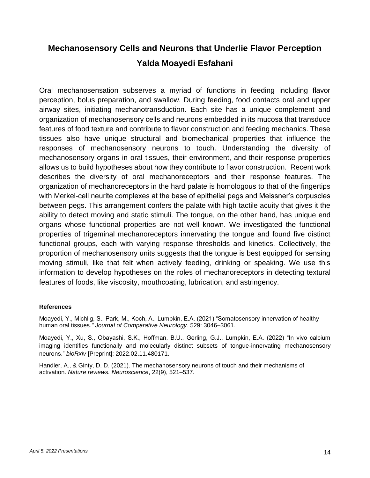## **Mechanosensory Cells and Neurons that Underlie Flavor Perception Yalda Moayedi Esfahani**

Oral mechanosensation subserves a myriad of functions in feeding including flavor perception, bolus preparation, and swallow. During feeding, food contacts oral and upper airway sites, initiating mechanotransduction. Each site has a unique complement and organization of mechanosensory cells and neurons embedded in its mucosa that transduce features of food texture and contribute to flavor construction and feeding mechanics. These tissues also have unique structural and biomechanical properties that influence the responses of mechanosensory neurons to touch. Understanding the diversity of mechanosensory organs in oral tissues, their environment, and their response properties allows us to build hypotheses about how they contribute to flavor construction. Recent work describes the diversity of oral mechanoreceptors and their response features. The organization of mechanoreceptors in the hard palate is homologous to that of the fingertips with Merkel-cell neurite complexes at the base of epithelial pegs and Meissner's corpuscles between pegs. This arrangement confers the palate with high tactile acuity that gives it the ability to detect moving and static stimuli. The tongue, on the other hand, has unique end organs whose functional properties are not well known. We investigated the functional properties of trigeminal mechanoreceptors innervating the tongue and found five distinct functional groups, each with varying response thresholds and kinetics. Collectively, the proportion of mechanosensory units suggests that the tongue is best equipped for sensing moving stimuli, like that felt when actively feeding, drinking or speaking. We use this information to develop hypotheses on the roles of mechanoreceptors in detecting textural features of foods, like viscosity, mouthcoating, lubrication, and astringency.

#### **References**

Moayedi, Y., Michlig, S., Park, M., Koch, A., Lumpkin, E.A. (2021) "Somatosensory innervation of healthy human oral tissues*." Journal of Comparative Neurology*. 529: 3046–3061.

Moayedi, Y., Xu, S., Obayashi, S.K., Hoffman, B.U., Gerling, G.J., Lumpkin, E.A. (2022) "In vivo calcium imaging identifies functionally and molecularly distinct subsets of tongue-innervating mechanosensory neurons." *bioRxiv* [Preprint]: 2022.02.11.480171.

Handler, A., & Ginty, D. D. (2021). The mechanosensory neurons of touch and their mechanisms of activation. *Nature reviews. Neuroscience*, 22(9), 521–537.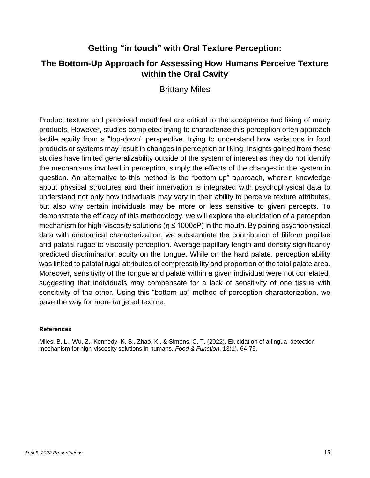#### **Getting "in touch" with Oral Texture Perception:**

#### **The Bottom-Up Approach for Assessing How Humans Perceive Texture within the Oral Cavity**

Brittany Miles

Product texture and perceived mouthfeel are critical to the acceptance and liking of many products. However, studies completed trying to characterize this perception often approach tactile acuity from a "top-down" perspective, trying to understand how variations in food products or systems may result in changes in perception or liking. Insights gained from these studies have limited generalizability outside of the system of interest as they do not identify the mechanisms involved in perception, simply the effects of the changes in the system in question. An alternative to this method is the "bottom-up" approach, wherein knowledge about physical structures and their innervation is integrated with psychophysical data to understand not only how individuals may vary in their ability to perceive texture attributes, but also why certain individuals may be more or less sensitive to given percepts. To demonstrate the efficacy of this methodology, we will explore the elucidation of a perception mechanism for high-viscosity solutions ( $\eta \leq 1000cP$ ) in the mouth. By pairing psychophysical data with anatomical characterization, we substantiate the contribution of filiform papillae and palatal rugae to viscosity perception. Average papillary length and density significantly predicted discrimination acuity on the tongue. While on the hard palate, perception ability was linked to palatal rugal attributes of compressibility and proportion of the total palate area. Moreover, sensitivity of the tongue and palate within a given individual were not correlated, suggesting that individuals may compensate for a lack of sensitivity of one tissue with sensitivity of the other. Using this "bottom-up" method of perception characterization, we pave the way for more targeted texture.

#### **References**

Miles, B. L., Wu, Z., Kennedy, K. S., Zhao, K., & Simons, C. T. (2022). Elucidation of a lingual detection mechanism for high-viscosity solutions in humans. *Food & Function*, 13(1), 64-75.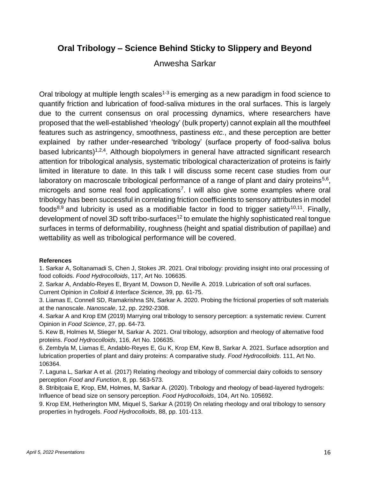#### **Oral Tribology – Science Behind Sticky to Slippery and Beyond**

#### Anwesha Sarkar

Oral tribology at multiple length scales<sup>1-3</sup> is emerging as a new paradigm in food science to quantify friction and lubrication of food-saliva mixtures in the oral surfaces. This is largely due to the current consensus on oral processing dynamics, where researchers have proposed that the well-established 'rheology' (bulk property) cannot explain all the mouthfeel features such as astringency, smoothness, pastiness *etc.*, and these perception are better explained by rather under-researched 'tribology' (surface property of food-saliva bolus based lubricants)<sup>1,2,4</sup>. Although biopolymers in general have attracted significant research attention for tribological analysis, systematic tribological characterization of proteins is fairly limited in literature to date. In this talk I will discuss some recent case studies from our laboratory on macroscale tribological performance of a range of plant and dairy proteins<sup>5,6</sup>, microgels and some real food applications<sup>7</sup>. I will also give some examples where oral tribology has been successful in correlating friction coefficients to sensory attributes in model foods<sup>8,9</sup> and lubricity is used as a modifiable factor in food to trigger satiety<sup>10,11</sup>. Finally, development of novel 3D soft tribo-surfaces<sup>12</sup> to emulate the highly sophisticated real tongue surfaces in terms of deformability, roughness (height and spatial distribution of papillae) and wettability as well as tribological performance will be covered.

#### **References**

1. Sarkar A, Soltanamadi S, Chen J, Stokes JR. 2021. Oral tribology: providing insight into oral processing of food colloids. *Food Hydrocolloids*, 117, Art No. 106635.

- 2. Sarkar A, Andablo-Reyes E, Bryant M, Dowson D, Neville A. 2019. Lubrication of soft oral surfaces. Current Opinion in *Colloid & Interface Science*, 39, pp. 61-75.
- 3. Liamas E, Connell SD, Ramakrishna SN, Sarkar A. 2020. Probing the frictional properties of soft materials at the nanoscale. *Nanoscale*, 12, pp. 2292-2308.

4. Sarkar A and Krop EM (2019) Marrying oral tribology to sensory perception: a systematic review. Current Opinion in *Food Science*, 27, pp. 64-73.

5. Kew B, Holmes M, Stieger M, Sarkar A. 2021. Oral tribology, adsorption and rheology of alternative food proteins. *Food Hydrocolloids*, 116, Art No. 106635.

6. Zembyla M, Liamas E, Andablo-Reyes E, Gu K, Krop EM, Kew B, Sarkar A. 2021. Surface adsorption and lubrication properties of plant and dairy proteins: A comparative study. *Food Hydrocolloids*. 111, Art No. 106364.

7. Laguna L, Sarkar A et al. (2017) Relating rheology and tribology of commercial dairy colloids to sensory perception *Food and Function*, 8, pp. 563-573.

8. Stribițcaia E, Krop, EM, Holmes, M, Sarkar A. (2020). Tribology and rheology of bead-layered hydrogels: Influence of bead size on sensory perception. *Food Hydrocolloids*, 104, Art No. 105692.

9. Krop EM, Hetherington MM, Miquel S, Sarkar A (2019) On relating rheology and oral tribology to sensory properties in hydrogels. *Food Hydrocolloids*, 88, pp. 101-113.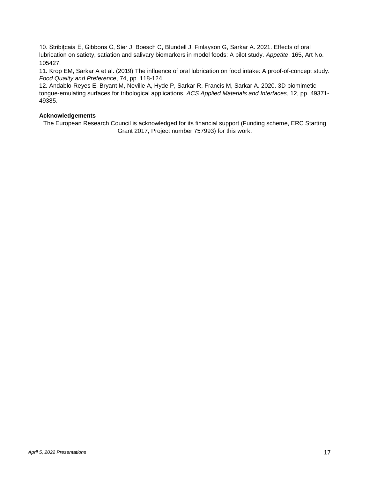10. Stribițcaia E, Gibbons C, Sier J, Boesch C, Blundell J, Finlayson G, Sarkar A. 2021. Effects of oral lubrication on satiety, satiation and salivary biomarkers in model foods: A pilot study. *Appetite*, 165, Art No. 105427.

11. Krop EM, Sarkar A et al. (2019) The influence of oral lubrication on food intake: A proof-of-concept study. *Food Quality and Preference*, 74, pp. 118-124.

12. Andablo-Reyes E, Bryant M, Neville A, Hyde P, Sarkar R, Francis M, Sarkar A. 2020. 3D biomimetic tongue-emulating surfaces for tribological applications. *ACS Applied Materials and Interfaces*, 12, pp. 49371- 49385.

#### **Acknowledgements**

The European Research Council is acknowledged for its financial support (Funding scheme, ERC Starting Grant 2017, Project number 757993) for this work.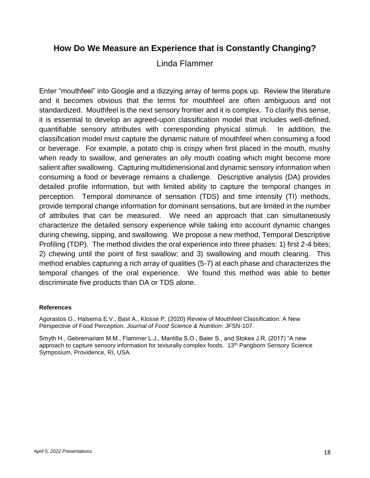#### **How Do We Measure an Experience that is Constantly Changing?**

Linda Flammer

Enter "mouthfeel" into Google and a dizzying array of terms pops up. Review the literature and it becomes obvious that the terms for mouthfeel are often ambiguous and not standardized. Mouthfeel is the next sensory frontier and it is complex. To clarify this sense, it is essential to develop an agreed-upon classification model that includes well-defined, quantifiable sensory attributes with corresponding physical stimuli. In addition, the classification model must capture the dynamic nature of mouthfeel when consuming a food or beverage. For example, a potato chip is crispy when first placed in the mouth, mushy when ready to swallow, and generates an oily mouth coating which might become more salient after swallowing. Capturing multidimensional and dynamic sensory information when consuming a food or beverage remains a challenge. Descriptive analysis (DA) provides detailed profile information, but with limited ability to capture the temporal changes in perception. Temporal dominance of sensation (TDS) and time intensity (TI) methods, provide temporal change information for dominant sensations, but are limited in the number of attributes that can be measured. We need an approach that can simultaneously characterize the detailed sensory experience while taking into account dynamic changes during chewing, sipping, and swallowing. We propose a new method, Temporal Descriptive Profiling (TDP). The method divides the oral experience into three phases: 1) first 2-4 bites; 2) chewing until the point of first swallow; and 3) swallowing and mouth clearing. This method enables capturing a rich array of qualities (5-7) at each phase and characterizes the temporal changes of the oral experience. We found this method was able to better discriminate five products than DA or TDS alone.

#### **References**

Agorastos G., Halsema E.V., Bast A., Klosse P. (2020) Review of Mouthfeel Classification. A New Perspective of Food Perception. *Journal of Food Science & Nutrition*: JFSN-107.

Smyth H., Gebremariam M.M., Flammer L.J., Mantilla S.O., Baier S., and Stokes J.R. (2017) "A new approach to capture sensory information for texturally complex foods. 13<sup>th</sup> Pangborn Sensory Science Symposium, Providence, RI, USA.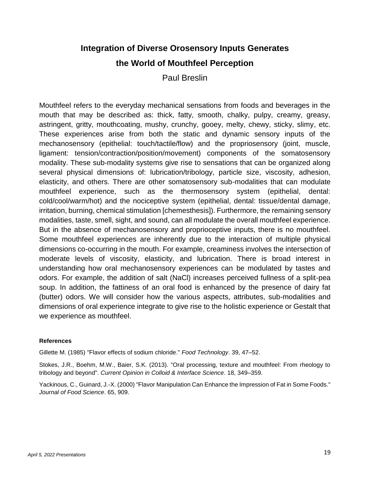## **Integration of Diverse Orosensory Inputs Generates the World of Mouthfeel Perception**

Paul Breslin

Mouthfeel refers to the everyday mechanical sensations from foods and beverages in the mouth that may be described as: thick, fatty, smooth, chalky, pulpy, creamy, greasy, astringent, gritty, mouthcoating, mushy, crunchy, gooey, melty, chewy, sticky, slimy, etc. These experiences arise from both the static and dynamic sensory inputs of the mechanosensory (epithelial: touch/tactile/flow) and the propriosensory (joint, muscle, ligament: tension/contraction/position/movement) components of the somatosensory modality. These sub-modality systems give rise to sensations that can be organized along several physical dimensions of: lubrication/tribology, particle size, viscosity, adhesion, elasticity, and others. There are other somatosensory sub-modalities that can modulate mouthfeel experience, such as the thermosensory system (epithelial, dental: cold/cool/warm/hot) and the nociceptive system (epithelial, dental: tissue/dental damage, irritation, burning, chemical stimulation [chemesthesis]). Furthermore, the remaining sensory modalities, taste, smell, sight, and sound, can all modulate the overall mouthfeel experience. But in the absence of mechanosensory and proprioceptive inputs, there is no mouthfeel. Some mouthfeel experiences are inherently due to the interaction of multiple physical dimensions co-occurring in the mouth. For example, creaminess involves the intersection of moderate levels of viscosity, elasticity, and lubrication. There is broad interest in understanding how oral mechanosensory experiences can be modulated by tastes and odors. For example, the addition of salt (NaCl) increases perceived fullness of a split-pea soup. In addition, the fattiness of an oral food is enhanced by the presence of dairy fat (butter) odors. We will consider how the various aspects, attributes, sub-modalities and dimensions of oral experience integrate to give rise to the holistic experience or Gestalt that we experience as mouthfeel.

#### **References**

Gillette M. (1985) "Flavor effects of sodium chloride." *Food Technology*. 39, 47–52.

Stokes, J.R., Boehm, M.W., Baier, S.K. (2013). "Oral processing, texture and mouthfeel: From rheology to tribology and beyond". *Current Opinion in Colloid & Interface Science*. 18, 349–359.

Yackinous, C., Guinard, J.-X. (2000) "Flavor Manipulation Can Enhance the Impression of Fat in Some Foods." *Journal of Food Science*. 65, 909.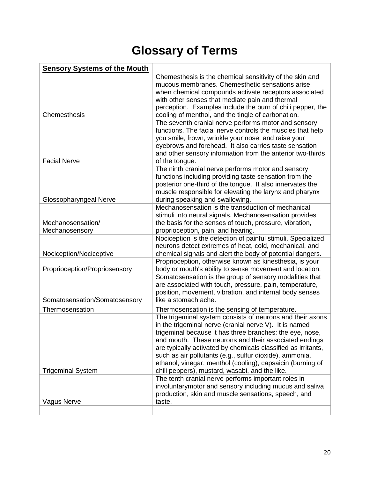# **Glossary of Terms**

| <b>Sensory Systems of the Mouth</b> |                                                                                                                                                                                                                                                                                                                                                                                                                                                                                      |
|-------------------------------------|--------------------------------------------------------------------------------------------------------------------------------------------------------------------------------------------------------------------------------------------------------------------------------------------------------------------------------------------------------------------------------------------------------------------------------------------------------------------------------------|
| Chemesthesis                        | Chemesthesis is the chemical sensitivity of the skin and<br>mucous membranes. Chemesthetic sensations arise<br>when chemical compounds activate receptors associated<br>with other senses that mediate pain and thermal<br>perception. Examples include the burn of chili pepper, the<br>cooling of menthol, and the tingle of carbonation.                                                                                                                                          |
| <b>Facial Nerve</b>                 | The seventh cranial nerve performs motor and sensory<br>functions. The facial nerve controls the muscles that help<br>you smile, frown, wrinkle your nose, and raise your<br>eyebrows and forehead. It also carries taste sensation<br>and other sensory information from the anterior two-thirds<br>of the tongue.                                                                                                                                                                  |
| Glossopharyngeal Nerve              | The ninth cranial nerve performs motor and sensory<br>functions including providing taste sensation from the<br>posterior one-third of the tongue. It also innervates the<br>muscle responsible for elevating the larynx and pharynx<br>during speaking and swallowing.                                                                                                                                                                                                              |
| Mechanosensation/<br>Mechanosensory | Mechanosensation is the transduction of mechanical<br>stimuli into neural signals. Mechanosensation provides<br>the basis for the senses of touch, pressure, vibration,<br>proprioception, pain, and hearing.                                                                                                                                                                                                                                                                        |
| Nociception/Nociceptive             | Nociception is the detection of painful stimuli. Specialized<br>neurons detect extremes of heat, cold, mechanical, and<br>chemical signals and alert the body of potential dangers.                                                                                                                                                                                                                                                                                                  |
| Proprioception/Propriosensory       | Proprioception, otherwise known as kinesthesia, is your<br>body or mouth's ability to sense movement and location.                                                                                                                                                                                                                                                                                                                                                                   |
| Somatosensation/Somatosensory       | Somatosensation is the group of sensory modalities that<br>are associated with touch, pressure, pain, temperature,<br>position, movement, vibration, and internal body senses<br>like a stomach ache.                                                                                                                                                                                                                                                                                |
| Thermosensation                     | Thermosensation is the sensing of temperature.                                                                                                                                                                                                                                                                                                                                                                                                                                       |
| <b>Trigeminal System</b>            | The trigeminal system consists of neurons and their axons<br>in the trigeminal nerve (cranial nerve V). It is named<br>trigeminal because it has three branches: the eye, nose,<br>and mouth. These neurons and their associated endings<br>are typically activated by chemicals classified as irritants,<br>such as air pollutants (e.g., sulfur dioxide), ammonia,<br>ethanol, vinegar, menthol (cooling), capsaicin (burning of<br>chili peppers), mustard, wasabi, and the like. |
| Vagus Nerve                         | The tenth cranial nerve performs important roles in<br>involuntarymotor and sensory including mucus and saliva<br>production, skin and muscle sensations, speech, and<br>taste.                                                                                                                                                                                                                                                                                                      |
|                                     |                                                                                                                                                                                                                                                                                                                                                                                                                                                                                      |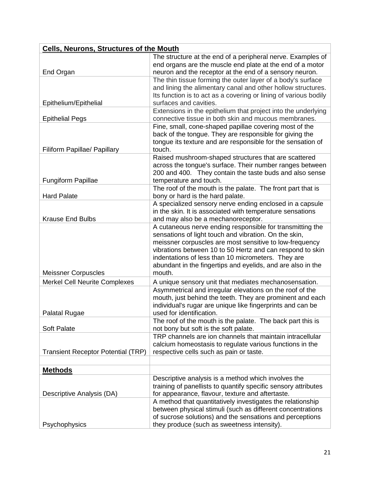| <b>Cells, Neurons, Structures of the Mouth</b> |                                                                                                                                                                                                                                                                                                                                                                           |  |
|------------------------------------------------|---------------------------------------------------------------------------------------------------------------------------------------------------------------------------------------------------------------------------------------------------------------------------------------------------------------------------------------------------------------------------|--|
|                                                | The structure at the end of a peripheral nerve. Examples of<br>end organs are the muscle end plate at the end of a motor                                                                                                                                                                                                                                                  |  |
| End Organ                                      | neuron and the receptor at the end of a sensory neuron.<br>The thin tissue forming the outer layer of a body's surface<br>and lining the alimentary canal and other hollow structures.<br>Its function is to act as a covering or lining of various bodily                                                                                                                |  |
| Epithelium/Epithelial                          | surfaces and cavities.                                                                                                                                                                                                                                                                                                                                                    |  |
| <b>Epithelial Pegs</b>                         | Extensions in the epithelium that project into the underlying<br>connective tissue in both skin and mucous membranes.                                                                                                                                                                                                                                                     |  |
| Filiform Papillae/ Papillary                   | Fine, small, cone-shaped papillae covering most of the<br>back of the tongue. They are responsible for giving the<br>tongue its texture and are responsible for the sensation of<br>touch.                                                                                                                                                                                |  |
| <b>Fungiform Papillae</b>                      | Raised mushroom-shaped structures that are scattered<br>across the tongue's surface. Their number ranges between<br>200 and 400. They contain the taste buds and also sense<br>temperature and touch.                                                                                                                                                                     |  |
| <b>Hard Palate</b>                             | The roof of the mouth is the palate. The front part that is<br>bony or hard is the hard palate.                                                                                                                                                                                                                                                                           |  |
| <b>Krause End Bulbs</b>                        | A specialized sensory nerve ending enclosed in a capsule<br>in the skin. It is associated with temperature sensations<br>and may also be a mechanoreceptor.                                                                                                                                                                                                               |  |
| <b>Meissner Corpuscles</b>                     | A cutaneous nerve ending responsible for transmitting the<br>sensations of light touch and vibration. On the skin,<br>meissner corpuscles are most sensitive to low-frequency<br>vibrations between 10 to 50 Hertz and can respond to skin<br>indentations of less than 10 micrometers. They are<br>abundant in the fingertips and eyelids, and are also in the<br>mouth. |  |
| <b>Merkel Cell Neurite Complexes</b>           | A unique sensory unit that mediates mechanosensation.                                                                                                                                                                                                                                                                                                                     |  |
| Palatal Rugae                                  | Asymmetrical and irregular elevations on the roof of the<br>mouth, just behind the teeth. They are prominent and each<br>individual's rugar are unique like fingerprints and can be<br>used for identification.                                                                                                                                                           |  |
| <b>Soft Palate</b>                             | The roof of the mouth is the palate. The back part this is<br>not bony but soft is the soft palate.                                                                                                                                                                                                                                                                       |  |
| <b>Transient Receptor Potential (TRP)</b>      | TRP channels are ion channels that maintain intracellular<br>calcium homeostasis to regulate various functions in the<br>respective cells such as pain or taste.                                                                                                                                                                                                          |  |
| <u>Methods</u>                                 |                                                                                                                                                                                                                                                                                                                                                                           |  |
| Descriptive Analysis (DA)                      | Descriptive analysis is a method which involves the<br>training of panellists to quantify specific sensory attributes<br>for appearance, flavour, texture and aftertaste.                                                                                                                                                                                                 |  |
| Psychophysics                                  | A method that quantitatively investigates the relationship<br>between physical stimuli (such as different concentrations<br>of sucrose solutions) and the sensations and perceptions<br>they produce (such as sweetness intensity).                                                                                                                                       |  |
|                                                |                                                                                                                                                                                                                                                                                                                                                                           |  |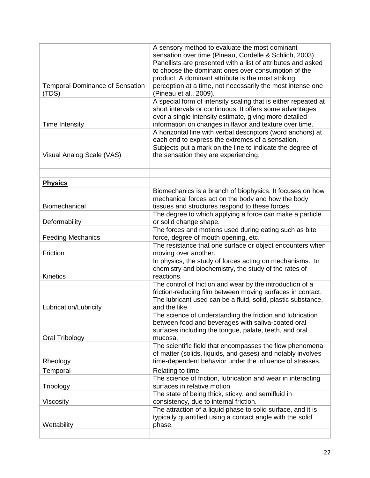| <b>Temporal Dominance of Sensation</b><br>(TDS) | A sensory method to evaluate the most dominant<br>sensation over time (Pineau, Cordelle & Schlich, 2003).<br>Panellists are presented with a list of attributes and asked<br>to choose the dominant ones over consumption of the<br>product. A dominant attribute is the most striking<br>perception at a time, not necessarily the most intense one<br>(Pineau et al., 2009). |
|-------------------------------------------------|--------------------------------------------------------------------------------------------------------------------------------------------------------------------------------------------------------------------------------------------------------------------------------------------------------------------------------------------------------------------------------|
| <b>Time Intensity</b>                           | A special form of intensity scaling that is either repeated at<br>short intervals or continuous. It offers some advantages<br>over a single intensity estimate, giving more detailed<br>information on changes in flavor and texture over time.                                                                                                                                |
| Visual Analog Scale (VAS)                       | A horizontal line with verbal descriptors (word anchors) at<br>each end to express the extremes of a sensation.<br>Subjects put a mark on the line to indicate the degree of<br>the sensation they are experiencing.                                                                                                                                                           |
|                                                 |                                                                                                                                                                                                                                                                                                                                                                                |
| <b>Physics</b>                                  |                                                                                                                                                                                                                                                                                                                                                                                |
| Biomechanical                                   | Biomechanics is a branch of biophysics. It focuses on how<br>mechanical forces act on the body and how the body<br>tissues and structures respond to these forces.                                                                                                                                                                                                             |
| Deformability                                   | The degree to which applying a force can make a particle<br>or solid change shape.                                                                                                                                                                                                                                                                                             |
| <b>Feeding Mechanics</b>                        | The forces and motions used during eating such as bite<br>force, degree of mouth opening, etc.                                                                                                                                                                                                                                                                                 |
| Friction                                        | The resistance that one surface or object encounters when<br>moving over another.                                                                                                                                                                                                                                                                                              |
| <b>Kinetics</b>                                 | In physics, the study of forces acting on mechanisms. In<br>chemistry and biochemistry, the study of the rates of<br>reactions.                                                                                                                                                                                                                                                |
| Lubrication/Lubricity                           | The control of friction and wear by the introduction of a<br>friction-reducing film between moving surfaces in contact.<br>The lubricant used can be a fluid, solid, plastic substance,<br>and the like.                                                                                                                                                                       |
| Oral Tribology                                  | The science of understanding the friction and lubrication<br>between food and beverages with saliva-coated oral<br>surfaces including the tongue, palate, teeth, and oral<br>mucosa.                                                                                                                                                                                           |
| Rheology                                        | The scientific field that encompasses the flow phenomena<br>of matter (solids, liquids, and gases) and notably involves<br>time-dependent behavior under the influence of stresses.                                                                                                                                                                                            |
| Temporal                                        | Relating to time                                                                                                                                                                                                                                                                                                                                                               |
| Tribology                                       | The science of friction, lubrication and wear in interacting<br>surfaces in relative motion                                                                                                                                                                                                                                                                                    |
| Viscosity                                       | The state of being thick, sticky, and semifluid in<br>consistency, due to internal friction.                                                                                                                                                                                                                                                                                   |
| Wettability                                     | The attraction of a liquid phase to solid surface, and it is<br>typically quantified using a contact angle with the solid<br>phase.                                                                                                                                                                                                                                            |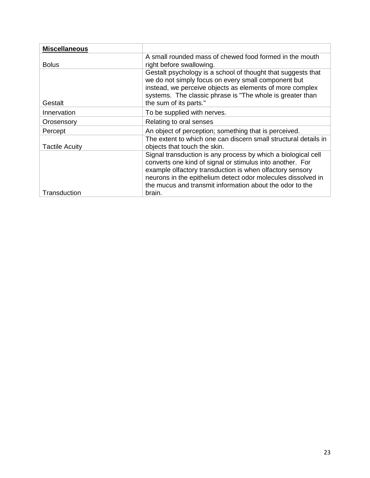| <b>Miscellaneous</b>  |                                                                                                                                                                                                                                                                                                                    |
|-----------------------|--------------------------------------------------------------------------------------------------------------------------------------------------------------------------------------------------------------------------------------------------------------------------------------------------------------------|
| <b>Bolus</b>          | A small rounded mass of chewed food formed in the mouth<br>right before swallowing.                                                                                                                                                                                                                                |
| Gestalt               | Gestalt psychology is a school of thought that suggests that<br>we do not simply focus on every small component but<br>instead, we perceive objects as elements of more complex<br>systems. The classic phrase is "The whole is greater than<br>the sum of its parts."                                             |
| Innervation           | To be supplied with nerves.                                                                                                                                                                                                                                                                                        |
| Orosensory            | Relating to oral senses                                                                                                                                                                                                                                                                                            |
| Percept               | An object of perception; something that is perceived.                                                                                                                                                                                                                                                              |
| <b>Tactile Acuity</b> | The extent to which one can discern small structural details in<br>objects that touch the skin.                                                                                                                                                                                                                    |
|                       | Signal transduction is any process by which a biological cell<br>converts one kind of signal or stimulus into another. For<br>example olfactory transduction is when olfactory sensory<br>neurons in the epithelium detect odor molecules dissolved in<br>the mucus and transmit information about the odor to the |
| Transduction          | brain.                                                                                                                                                                                                                                                                                                             |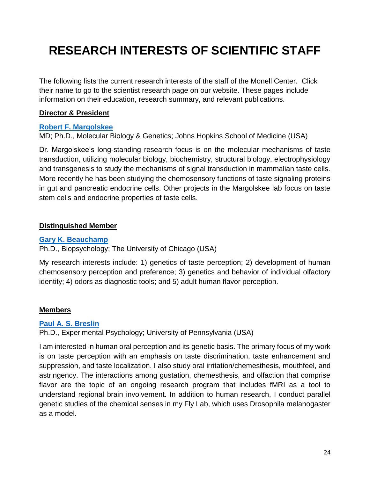# **RESEARCH INTERESTS OF SCIENTIFIC STAFF**

The following lists the current research interests of the staff of the Monell Center. Click their name to go to the scientist research page on our website. These pages include information on their education, research summary, and relevant publications.

#### **Director & President**

#### **[Robert F. Margolskee](https://monell.org/robert-margolskee/)**

MD; Ph.D., Molecular Biology & Genetics; Johns Hopkins School of Medicine (USA)

Dr. Margolskee's long-standing research focus is on the molecular mechanisms of taste transduction, utilizing molecular biology, biochemistry, structural biology, electrophysiology and transgenesis to study the mechanisms of signal transduction in mammalian taste cells. More recently he has been studying the chemosensory functions of taste signaling proteins in gut and pancreatic endocrine cells. Other projects in the Margolskee lab focus on taste stem cells and endocrine properties of taste cells.

#### **Distinguished Member**

#### **[Gary K. Beauchamp](https://monell.org/gary-beauchamp/)**

Ph.D., Biopsychology; The University of Chicago (USA)

My research interests include: 1) genetics of taste perception; 2) development of human chemosensory perception and preference; 3) genetics and behavior of individual olfactory identity; 4) odors as diagnostic tools; and 5) adult human flavor perception.

#### **Members**

#### **[Paul A. S. Breslin](https://monell.org/paul-breslin/)**

Ph.D., Experimental Psychology; University of Pennsylvania (USA)

I am interested in human oral perception and its genetic basis. The primary focus of my work is on taste perception with an emphasis on taste discrimination, taste enhancement and suppression, and taste localization. I also study oral irritation/chemesthesis, mouthfeel, and astringency. The interactions among gustation, chemesthesis, and olfaction that comprise flavor are the topic of an ongoing research program that includes fMRI as a tool to understand regional brain involvement. In addition to human research, I conduct parallel genetic studies of the chemical senses in my Fly Lab, which uses Drosophila melanogaster as a model.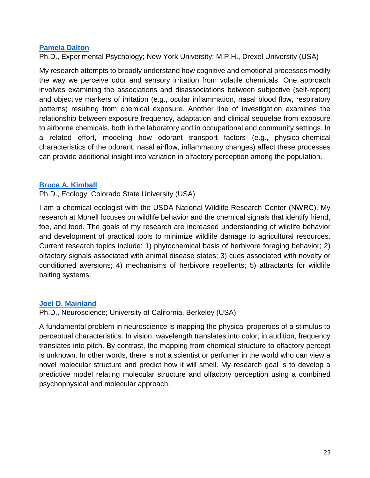#### **[Pamela Dalton](https://monell.org/pamela-dalton/)**

Ph.D., Experimental Psychology; New York University; M.P.H., Drexel University (USA)

My research attempts to broadly understand how cognitive and emotional processes modify the way we perceive odor and sensory irritation from volatile chemicals. One approach involves examining the associations and disassociations between subjective (self-report) and objective markers of irritation (e.g., ocular inflammation, nasal blood flow, respiratory patterns) resulting from chemical exposure. Another line of investigation examines the relationship between exposure frequency, adaptation and clinical sequelae from exposure to airborne chemicals, both in the laboratory and in occupational and community settings. In a related effort, modeling how odorant transport factors (e.g., physico-chemical characteristics of the odorant, nasal airflow, inflammatory changes) affect these processes can provide additional insight into variation in olfactory perception among the population.

#### **[Bruce A. Kimball](https://monell.org/bruce-kimball/)**

Ph.D., Ecology; Colorado State University (USA)

I am a chemical ecologist with the USDA National Wildlife Research Center (NWRC). My research at Monell focuses on wildlife behavior and the chemical signals that identify friend, foe, and food. The goals of my research are increased understanding of wildlife behavior and development of practical tools to minimize wildlife damage to agricultural resources. Current research topics include: 1) phytochemical basis of herbivore foraging behavior; 2) olfactory signals associated with animal disease states; 3) cues associated with novelty or conditioned aversions; 4) mechanisms of herbivore repellents; 5) attractants for wildlife baiting systems.

#### **[Joel D. Mainland](https://monell.org/joel-mainland/)**

Ph.D., Neuroscience; University of California, Berkeley (USA)

A fundamental problem in neuroscience is mapping the physical properties of a stimulus to perceptual characteristics. In vision, wavelength translates into color; in audition, frequency translates into pitch. By contrast, the mapping from chemical structure to olfactory percept is unknown. In other words, there is not a scientist or perfumer in the world who can view a novel molecular structure and predict how it will smell. My research goal is to develop a predictive model relating molecular structure and olfactory perception using a combined psychophysical and molecular approach.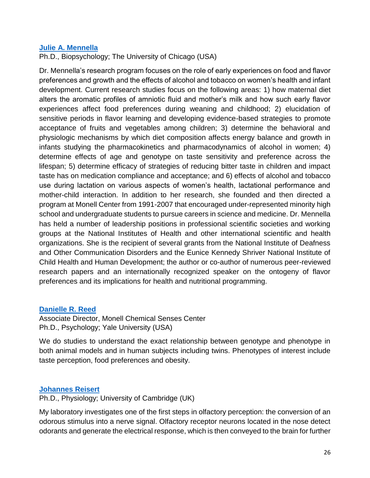#### **[Julie A. Mennella](https://monell.org/julie-mennella/)**

Ph.D., Biopsychology; The University of Chicago (USA)

Dr. Mennella's research program focuses on the role of early experiences on food and flavor preferences and growth and the effects of alcohol and tobacco on women's health and infant development. Current research studies focus on the following areas: 1) how maternal diet alters the aromatic profiles of amniotic fluid and mother's milk and how such early flavor experiences affect food preferences during weaning and childhood; 2) elucidation of sensitive periods in flavor learning and developing evidence-based strategies to promote acceptance of fruits and vegetables among children; 3) determine the behavioral and physiologic mechanisms by which diet composition affects energy balance and growth in infants studying the pharmacokinetics and pharmacodynamics of alcohol in women; 4) determine effects of age and genotype on taste sensitivity and preference across the lifespan; 5) determine efficacy of strategies of reducing bitter taste in children and impact taste has on medication compliance and acceptance; and 6) effects of alcohol and tobacco use during lactation on various aspects of women's health, lactational performance and mother-child interaction. In addition to her research, she founded and then directed a program at Monell Center from 1991-2007 that encouraged under-represented minority high school and undergraduate students to pursue careers in science and medicine. Dr. Mennella has held a number of leadership positions in professional scientific societies and working groups at the National Institutes of Health and other international scientific and health organizations. She is the recipient of several grants from the National Institute of Deafness and Other Communication Disorders and the Eunice Kennedy Shriver National Institute of Child Health and Human Development; the author or co-author of numerous peer-reviewed research papers and an internationally recognized speaker on the ontogeny of flavor preferences and its implications for health and nutritional programming.

#### **[Danielle R. Reed](https://monell.org/danielle-reed/)**

Associate Director, Monell Chemical Senses Center Ph.D., Psychology; Yale University (USA)

We do studies to understand the exact relationship between genotype and phenotype in both animal models and in human subjects including twins. Phenotypes of interest include taste perception, food preferences and obesity.

#### **[Johannes Reisert](https://monell.org/johannes-reisert/)**

Ph.D., Physiology; University of Cambridge (UK)

My laboratory investigates one of the first steps in olfactory perception: the conversion of an odorous stimulus into a nerve signal. Olfactory receptor neurons located in the nose detect odorants and generate the electrical response, which is then conveyed to the brain for further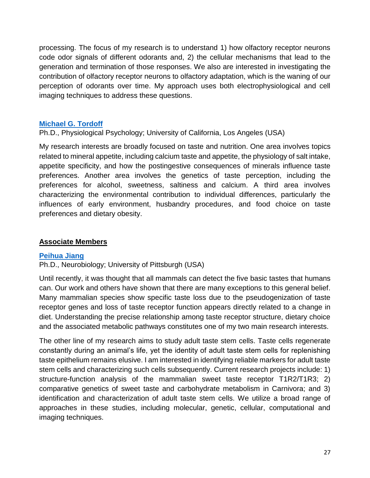processing. The focus of my research is to understand 1) how olfactory receptor neurons code odor signals of different odorants and, 2) the cellular mechanisms that lead to the generation and termination of those responses. We also are interested in investigating the contribution of olfactory receptor neurons to olfactory adaptation, which is the waning of our perception of odorants over time. My approach uses both electrophysiological and cell imaging techniques to address these questions.

#### **[Michael G. Tordoff](https://monell.org/michael-tordoff/)**

Ph.D., Physiological Psychology; University of California, Los Angeles (USA)

My research interests are broadly focused on taste and nutrition. One area involves topics related to mineral appetite, including calcium taste and appetite, the physiology of salt intake, appetite specificity, and how the postingestive consequences of minerals influence taste preferences. Another area involves the genetics of taste perception, including the preferences for alcohol, sweetness, saltiness and calcium. A third area involves characterizing the environmental contribution to individual differences, particularly the influences of early environment, husbandry procedures, and food choice on taste preferences and dietary obesity.

#### **Associate Members**

#### **[Peihua Jiang](https://monell.org/peihua-jiang/)**

Ph.D., Neurobiology; University of Pittsburgh (USA)

Until recently, it was thought that all mammals can detect the five basic tastes that humans can. Our work and others have shown that there are many exceptions to this general belief. Many mammalian species show specific taste loss due to the pseudogenization of taste receptor genes and loss of taste receptor function appears directly related to a change in diet. Understanding the precise relationship among taste receptor structure, dietary choice and the associated metabolic pathways constitutes one of my two main research interests.

The other line of my research aims to study adult taste stem cells. Taste cells regenerate constantly during an animal's life, yet the identity of adult taste stem cells for replenishing taste epithelium remains elusive. I am interested in identifying reliable markers for adult taste stem cells and characterizing such cells subsequently. Current research projects include: 1) structure-function analysis of the mammalian sweet taste receptor T1R2/T1R3; 2) comparative genetics of sweet taste and carbohydrate metabolism in Carnivora; and 3) identification and characterization of adult taste stem cells. We utilize a broad range of approaches in these studies, including molecular, genetic, cellular, computational and imaging techniques.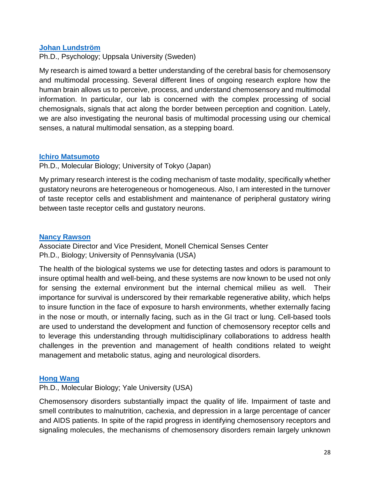#### **[Johan Lundström](https://monell.org/johan-lundstrom/)**

Ph.D., Psychology; Uppsala University (Sweden)

My research is aimed toward a better understanding of the cerebral basis for chemosensory and multimodal processing. Several different lines of ongoing research explore how the human brain allows us to perceive, process, and understand chemosensory and multimodal information. In particular, our lab is concerned with the complex processing of social chemosignals, signals that act along the border between perception and cognition. Lately, we are also investigating the neuronal basis of multimodal processing using our chemical senses, a natural multimodal sensation, as a stepping board.

#### **[Ichiro Matsumoto](https://monell.org/ichiro-matsumoto/)**

Ph.D., Molecular Biology; University of Tokyo (Japan)

My primary research interest is the coding mechanism of taste modality, specifically whether gustatory neurons are heterogeneous or homogeneous. Also, I am interested in the turnover of taste receptor cells and establishment and maintenance of peripheral gustatory wiring between taste receptor cells and gustatory neurons.

#### **[Nancy Rawson](https://monell.org/nancy-rawson/)**

Associate Director and Vice President, Monell Chemical Senses Center Ph.D., Biology; University of Pennsylvania (USA)

The health of the biological systems we use for detecting tastes and odors is paramount to insure optimal health and well-being, and these systems are now known to be used not only for sensing the external environment but the internal chemical milieu as well. Their importance for survival is underscored by their remarkable regenerative ability, which helps to insure function in the face of exposure to harsh environments, whether externally facing in the nose or mouth, or internally facing, such as in the GI tract or lung. Cell-based tools are used to understand the development and function of chemosensory receptor cells and to leverage this understanding through multidisciplinary collaborations to address health challenges in the prevention and management of health conditions related to weight management and metabolic status, aging and neurological disorders.

#### **[Hong Wang](https://monell.org/hong-wang/)**

Ph.D., Molecular Biology; Yale University (USA)

Chemosensory disorders substantially impact the quality of life. Impairment of taste and smell contributes to malnutrition, cachexia, and depression in a large percentage of cancer and AIDS patients. In spite of the rapid progress in identifying chemosensory receptors and signaling molecules, the mechanisms of chemosensory disorders remain largely unknown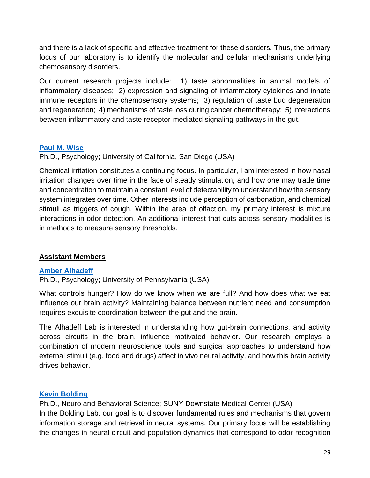and there is a lack of specific and effective treatment for these disorders. Thus, the primary focus of our laboratory is to identify the molecular and cellular mechanisms underlying chemosensory disorders.

Our current research projects include: 1) taste abnormalities in animal models of inflammatory diseases; 2) expression and signaling of inflammatory cytokines and innate immune receptors in the chemosensory systems; 3) regulation of taste bud degeneration and regeneration; 4) mechanisms of taste loss during cancer chemotherapy; 5) interactions between inflammatory and taste receptor-mediated signaling pathways in the gut.

#### **[Paul M. Wise](https://monell.org/paul-wise/)**

Ph.D., Psychology; University of California, San Diego (USA)

Chemical irritation constitutes a continuing focus. In particular, I am interested in how nasal irritation changes over time in the face of steady stimulation, and how one may trade time and concentration to maintain a constant level of detectability to understand how the sensory system integrates over time. Other interests include perception of carbonation, and chemical stimuli as triggers of cough. Within the area of olfaction, my primary interest is mixture interactions in odor detection. An additional interest that cuts across sensory modalities is in methods to measure sensory thresholds.

#### **Assistant Members**

#### **[Amber Alhadeff](https://monell.org/amber-alhadeff/)**

Ph.D., Psychology; University of Pennsylvania (USA)

What controls hunger? How do we know when we are full? And how does what we eat influence our brain activity? Maintaining balance between nutrient need and consumption requires exquisite coordination between the gut and the brain.

The Alhadeff Lab is interested in understanding how gut-brain connections, and activity across circuits in the brain, influence motivated behavior. Our research employs a combination of modern neuroscience tools and surgical approaches to understand how external stimuli (e.g. food and drugs) affect in vivo neural activity, and how this brain activity drives behavior.

#### **[Kevin Bolding](https://monell.org/kevin-bolding/)**

Ph.D., Neuro and Behavioral Science; SUNY Downstate Medical Center (USA) In the Bolding Lab, our goal is to discover fundamental rules and mechanisms that govern information storage and retrieval in neural systems. Our primary focus will be establishing the changes in neural circuit and population dynamics that correspond to odor recognition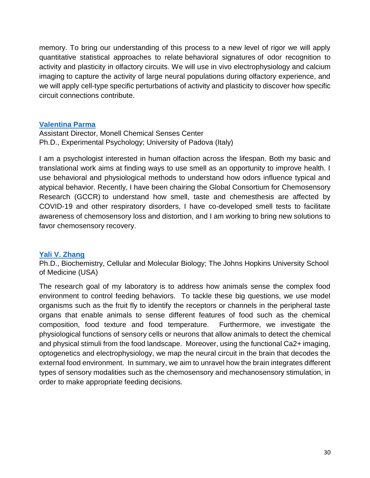memory. To bring our understanding of this process to a new level of rigor we will apply quantitative statistical approaches to relate behavioral signatures of odor recognition to activity and plasticity in olfactory circuits. We will use in vivo electrophysiology and calcium imaging to capture the activity of large neural populations during olfactory experience, and we will apply cell-type specific perturbations of activity and plasticity to discover how specific circuit connections contribute.

#### **[Valentina Parma](https://monell.org/valentina-parma/)**

Assistant Director, Monell Chemical Senses Center Ph.D., Experimental Psychology; University of Padova (Italy)

I am a psychologist interested in human olfaction across the lifespan. Both my basic and translational work aims at finding ways to use smell as an opportunity to improve health. I use behavioral and physiological methods to understand how odors influence typical and atypical behavior. Recently, I have been chairing the Global Consortium for Chemosensory Research (GCCR) to understand how smell, taste and chemesthesis are affected by COVID-19 and other respiratory disorders, I have co-developed smell tests to facilitate awareness of chemosensory loss and distortion, and I am working to bring new solutions to favor chemosensory recovery.

#### **[Yali V. Zhang](https://monell.org/yali-zhang/)**

Ph.D., Biochemistry, Cellular and Molecular Biology; The Johns Hopkins University School of Medicine (USA)

The research goal of my laboratory is to address how animals sense the complex food environment to control feeding behaviors. To tackle these big questions, we use model organisms such as the fruit fly to identify the receptors or channels in the peripheral taste organs that enable animals to sense different features of food such as the chemical composition, food texture and food temperature. Furthermore, we investigate the physiological functions of sensory cells or neurons that allow animals to detect the chemical and physical stimuli from the food landscape. Moreover, using the functional Ca2+ imaging, optogenetics and electrophysiology, we map the neural circuit in the brain that decodes the external food environment. In summary, we aim to unravel how the brain integrates different types of sensory modalities such as the chemosensory and mechanosensory stimulation, in order to make appropriate feeding decisions.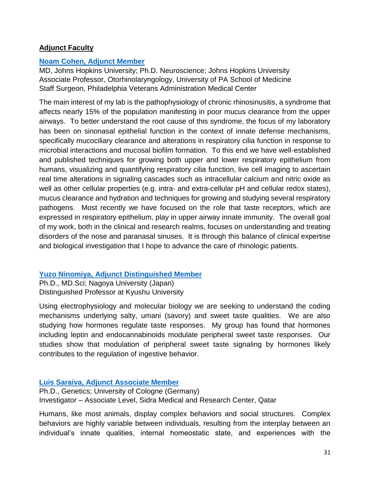#### **Adjunct Faculty**

#### **[Noam Cohen, Adjunct Member](https://monell.org/noam-cohen/)**

MD, Johns Hopkins University; Ph.D. Neuroscience; Johns Hopkins University Associate Professor, Otorhinolaryngology, University of PA School of Medicine Staff Surgeon, Philadelphia Veterans Administration Medical Center

The main interest of my lab is the pathophysiology of chronic rhinosinusitis, a syndrome that affects nearly 15% of the population manifesting in poor mucus clearance from the upper airways. To better understand the root cause of this syndrome, the focus of my laboratory has been on sinonasal epithelial function in the context of innate defense mechanisms, specifically mucociliary clearance and alterations in respiratory cilia function in response to microbial interactions and mucosal biofilm formation. To this end we have well-established and published techniques for growing both upper and lower respiratory epithelium from humans, visualizing and quantifying respiratory cilia function, live cell imaging to ascertain real time alterations in signaling cascades such as intracellular calcium and nitric oxide as well as other cellular properties (e.g. intra- and extra-cellular pH and cellular redox states), mucus clearance and hydration and techniques for growing and studying several respiratory pathogens. Most recently we have focused on the role that taste receptors, which are expressed in respiratory epithelium, play in upper airway innate immunity. The overall goal of my work, both in the clinical and research realms, focuses on understanding and treating disorders of the nose and paranasal sinuses. It is through this balance of clinical expertise and biological investigation that I hope to advance the care of rhinologic patients.

#### **[Yuzo Ninomiya, Adjunct Distinguished Member](https://monell.org/yuzo-ninomiya/)**

Ph.D., MD.Sci; Nagoya University (Japan) Distinguished Professor at Kyushu University

Using electrophysiology and molecular biology we are seeking to understand the coding mechanisms underlying salty, umani (savory) and sweet taste qualities. We are also studying how hormones regulate taste responses. My group has found that hormones including leptin and endocannabinoids modulate peripheral sweet taste responses. Our studies show that modulation of peripheral sweet taste signaling by hormones likely contributes to the regulation of ingestive behavior.

#### **[Luis Saraiva, Adjunct Associate Member](https://monell.org/luis-saraiva/)**

Ph.D., Genetics; University of Cologne (Germany) Investigator – Associate Level, Sidra Medical and Research Center, Qatar

Humans, like most animals, display complex behaviors and social structures. Complex behaviors are highly variable between individuals, resulting from the interplay between an individual's innate qualities, internal homeostatic state, and experiences with the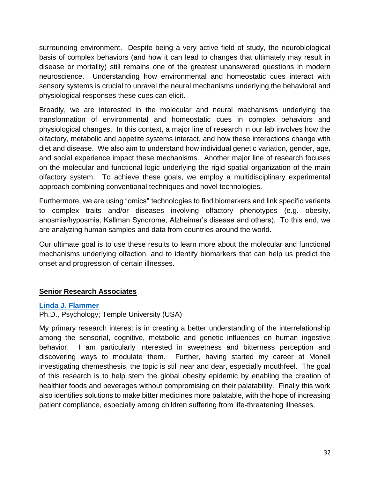surrounding environment. Despite being a very active field of study, the neurobiological basis of complex behaviors (and how it can lead to changes that ultimately may result in disease or mortality) still remains one of the greatest unanswered questions in modern neuroscience. Understanding how environmental and homeostatic cues interact with sensory systems is crucial to unravel the neural mechanisms underlying the behavioral and physiological responses these cues can elicit.

Broadly, we are interested in the molecular and neural mechanisms underlying the transformation of environmental and homeostatic cues in complex behaviors and physiological changes. In this context, a major line of research in our lab involves how the olfactory, metabolic and appetite systems interact, and how these interactions change with diet and disease. We also aim to understand how individual genetic variation, gender, age, and social experience impact these mechanisms. Another major line of research focuses on the molecular and functional logic underlying the rigid spatial organization of the main olfactory system. To achieve these goals, we employ a multidisciplinary experimental approach combining conventional techniques and novel technologies.

Furthermore, we are using "omics'' technologies to find biomarkers and link specific variants to complex traits and/or diseases involving olfactory phenotypes (e.g. obesity, anosmia/hyposmia, Kallman Syndrome, Alzheimer's disease and others). To this end, we are analyzing human samples and data from countries around the world.

Our ultimate goal is to use these results to learn more about the molecular and functional mechanisms underlying olfaction, and to identify biomarkers that can help us predict the onset and progression of certain illnesses.

#### **Senior Research Associates**

#### **[Linda J. Flammer](https://monell.org/linda-flammer/)**

Ph.D., Psychology; Temple University (USA)

My primary research interest is in creating a better understanding of the interrelationship among the sensorial, cognitive, metabolic and genetic influences on human ingestive behavior. I am particularly interested in sweetness and bitterness perception and discovering ways to modulate them. Further, having started my career at Monell investigating chemesthesis, the topic is still near and dear, especially mouthfeel. The goal of this research is to help stem the global obesity epidemic by enabling the creation of healthier foods and beverages without compromising on their palatability. Finally this work also identifies solutions to make bitter medicines more palatable, with the hope of increasing patient compliance, especially among children suffering from life-threatening illnesses.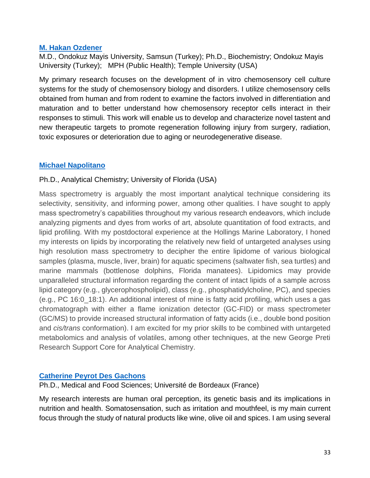#### **[M. Hakan Ozdener](https://monell.org/m-hakan-ozdener/)**

M.D., Ondokuz Mayis University, Samsun (Turkey); Ph.D., Biochemistry; Ondokuz Mayis University (Turkey); MPH (Public Health); Temple University (USA)

My primary research focuses on the development of in vitro chemosensory cell culture systems for the study of chemosensory biology and disorders. I utilize chemosensory cells obtained from human and from rodent to examine the factors involved in differentiation and maturation and to better understand how chemosensory receptor cells interact in their responses to stimuli. This work will enable us to develop and characterize novel tastent and new therapeutic targets to promote regeneration following injury from surgery, radiation, toxic exposures or deterioration due to aging or neurodegenerative disease.

#### **[Michael Napolitano](https://monell.org/michael-p-napolitano/)**

#### Ph.D., Analytical Chemistry; University of Florida (USA)

Mass spectrometry is arguably the most important analytical technique considering its selectivity, sensitivity, and informing power, among other qualities. I have sought to apply mass spectrometry's capabilities throughout my various research endeavors, which include analyzing pigments and dyes from works of art, absolute quantitation of food extracts, and lipid profiling. With my postdoctoral experience at the Hollings Marine Laboratory, I honed my interests on lipids by incorporating the relatively new field of untargeted analyses using high resolution mass spectrometry to decipher the entire lipidome of various biological samples (plasma, muscle, liver, brain) for aquatic specimens (saltwater fish, sea turtles) and marine mammals (bottlenose dolphins, Florida manatees). Lipidomics may provide unparalleled structural information regarding the content of intact lipids of a sample across lipid category (e.g., glycerophospholipid), class (e.g., phosphatidylcholine, PC), and species (e.g., PC 16:0\_18:1). An additional interest of mine is fatty acid profiling, which uses a gas chromatograph with either a flame ionization detector (GC-FID) or mass spectrometer (GC/MS) to provide increased structural information of fatty acids (i.e., double bond position and *cis/trans* conformation). I am excited for my prior skills to be combined with untargeted metabolomics and analysis of volatiles, among other techniques, at the new George Preti Research Support Core for Analytical Chemistry.

#### **[Catherine Peyrot Des Gachons](https://monell.org/catherine-peyrot-des-gachons/)**

Ph.D., Medical and Food Sciences; Université de Bordeaux (France)

My research interests are human oral perception, its genetic basis and its implications in nutrition and health. Somatosensation, such as irritation and mouthfeel, is my main current focus through the study of natural products like wine, olive oil and spices. I am using several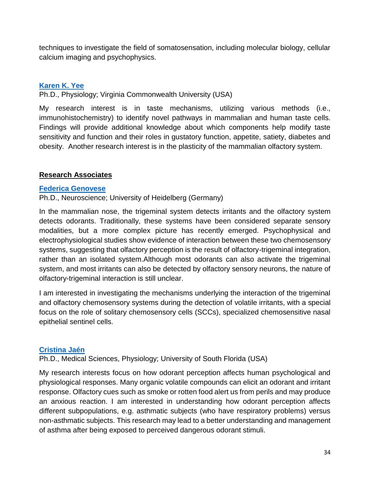techniques to investigate the field of somatosensation, including molecular biology, cellular calcium imaging and psychophysics.

#### **[Karen K. Yee](https://monell.org/karen-yee/)**

Ph.D., Physiology; Virginia Commonwealth University (USA)

My research interest is in taste mechanisms, utilizing various methods (i.e., immunohistochemistry) to identify novel pathways in mammalian and human taste cells. Findings will provide additional knowledge about which components help modify taste sensitivity and function and their roles in gustatory function, appetite, satiety, diabetes and obesity. Another research interest is in the plasticity of the mammalian olfactory system.

#### **Research Associates**

#### **[Federica Genovese](https://monell.org/federica-genovese/)**

Ph.D., Neuroscience; University of Heidelberg (Germany)

In the mammalian nose, the trigeminal system detects irritants and the olfactory system detects odorants. Traditionally, these systems have been considered separate sensory modalities, but a more complex picture has recently emerged. Psychophysical and electrophysiological studies show evidence of interaction between these two chemosensory systems, suggesting that olfactory perception is the result of olfactory-trigeminal integration, rather than an isolated system.Although most odorants can also activate the trigeminal system, and most irritants can also be detected by olfactory sensory neurons, the nature of olfactory-trigeminal interaction is still unclear.

I am interested in investigating the mechanisms underlying the interaction of the trigeminal and olfactory chemosensory systems during the detection of volatile irritants, with a special focus on the role of solitary chemosensory cells (SCCs), specialized chemosensitive nasal epithelial sentinel cells.

#### **[Cristina Jaén](https://monell.org/cristina-jaen/)**

Ph.D., Medical Sciences, Physiology; University of South Florida (USA)

My research interests focus on how odorant perception affects human psychological and physiological responses. Many organic volatile compounds can elicit an odorant and irritant response. Olfactory cues such as smoke or rotten food alert us from perils and may produce an anxious reaction. I am interested in understanding how odorant perception affects different subpopulations, e.g. asthmatic subjects (who have respiratory problems) versus non-asthmatic subjects. This research may lead to a better understanding and management of asthma after being exposed to perceived dangerous odorant stimuli.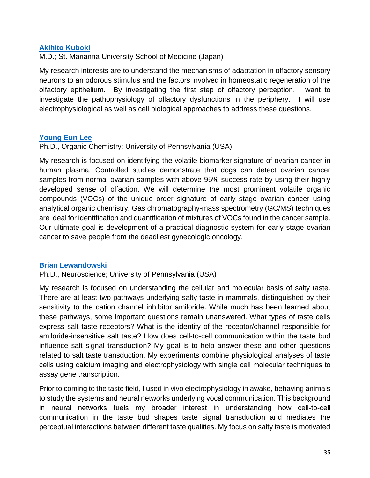#### **[Akihito Kuboki](https://monell.org/akihito-kuboki/)**

M.D.; St. Marianna University School of Medicine (Japan)

My research interests are to understand the mechanisms of adaptation in olfactory sensory neurons to an odorous stimulus and the factors involved in homeostatic regeneration of the olfactory epithelium. By investigating the first step of olfactory perception, I want to investigate the pathophysiology of olfactory dysfunctions in the periphery. I will use electrophysiological as well as cell biological approaches to address these questions.

#### **[Young Eun Lee](https://monell.org/young-eun-lee/)**

Ph.D., Organic Chemistry; University of Pennsylvania (USA)

My research is focused on identifying the volatile biomarker signature of ovarian cancer in human plasma. Controlled studies demonstrate that dogs can detect ovarian cancer samples from normal ovarian samples with above 95% success rate by using their highly developed sense of olfaction. We will determine the most prominent volatile organic compounds (VOCs) of the unique order signature of early stage ovarian cancer using analytical organic chemistry. Gas chromatography-mass spectrometry (GC/MS) techniques are ideal for identification and quantification of mixtures of VOCs found in the cancer sample. Our ultimate goal is development of a practical diagnostic system for early stage ovarian cancer to save people from the deadliest gynecologic oncology.

#### **[Brian Lewandowski](https://monell.org/brian-lewandowski/)**

Ph.D., Neuroscience; University of Pennsylvania (USA)

My research is focused on understanding the cellular and molecular basis of salty taste. There are at least two pathways underlying salty taste in mammals, distinguished by their sensitivity to the cation channel inhibitor amiloride. While much has been learned about these pathways, some important questions remain unanswered. What types of taste cells express salt taste receptors? What is the identity of the receptor/channel responsible for amiloride-insensitive salt taste? How does cell-to-cell communication within the taste bud influence salt signal transduction? My goal is to help answer these and other questions related to salt taste transduction. My experiments combine physiological analyses of taste cells using calcium imaging and electrophysiology with single cell molecular techniques to assay gene transcription.

Prior to coming to the taste field, I used in vivo electrophysiology in awake, behaving animals to study the systems and neural networks underlying vocal communication. This background in neural networks fuels my broader interest in understanding how cell-to-cell communication in the taste bud shapes taste signal transduction and mediates the perceptual interactions between different taste qualities. My focus on salty taste is motivated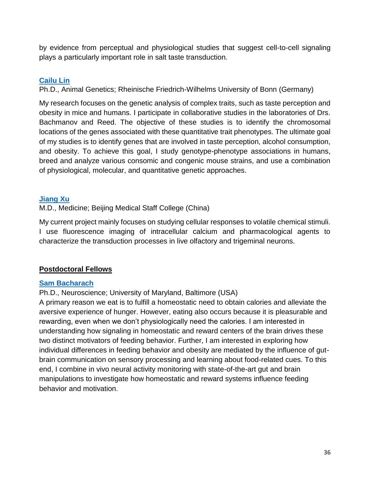by evidence from perceptual and physiological studies that suggest cell-to-cell signaling plays a particularly important role in salt taste transduction.

#### **[Cailu Lin](https://monell.org/cailu-lin/)**

Ph.D., Animal Genetics; Rheinische Friedrich-Wilhelms University of Bonn (Germany)

My research focuses on the genetic analysis of complex traits, such as taste perception and obesity in mice and humans. I participate in collaborative studies in the laboratories of Drs. Bachmanov and Reed. The objective of these studies is to identify the chromosomal locations of the genes associated with these quantitative trait phenotypes. The ultimate goal of my studies is to identify genes that are involved in taste perception, alcohol consumption, and obesity. To achieve this goal, I study genotype-phenotype associations in humans, breed and analyze various consomic and congenic mouse strains, and use a combination of physiological, molecular, and quantitative genetic approaches.

#### **[Jiang Xu](https://monell.org/jiang-xu/)**

M.D., Medicine; Beijing Medical Staff College (China)

My current project mainly focuses on studying cellular responses to volatile chemical stimuli. I use fluorescence imaging of intracellular calcium and pharmacological agents to characterize the transduction processes in live olfactory and trigeminal neurons.

#### **Postdoctoral Fellows**

#### **[Sam Bacharach](https://monell.org/sam-bacharach/)**

Ph.D., Neuroscience; University of Maryland, Baltimore (USA)

A primary reason we eat is to fulfill a homeostatic need to obtain calories and alleviate the aversive experience of hunger. However, eating also occurs because it is pleasurable and rewarding, even when we don't physiologically need the calories. I am interested in understanding how signaling in homeostatic and reward centers of the brain drives these two distinct motivators of feeding behavior. Further, I am interested in exploring how individual differences in feeding behavior and obesity are mediated by the influence of gutbrain communication on sensory processing and learning about food-related cues. To this end, I combine in vivo neural activity monitoring with state-of-the-art gut and brain manipulations to investigate how homeostatic and reward systems influence feeding behavior and motivation.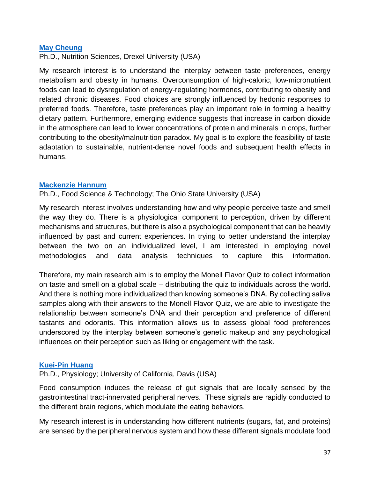#### **[May Cheung](https://monell.org/may-cheung/)**

Ph.D., Nutrition Sciences, Drexel University (USA)

My research interest is to understand the interplay between taste preferences, energy metabolism and obesity in humans. Overconsumption of high-caloric, low-micronutrient foods can lead to dysregulation of energy-regulating hormones, contributing to obesity and related chronic diseases. Food choices are strongly influenced by hedonic responses to preferred foods. Therefore, taste preferences play an important role in forming a healthy dietary pattern. Furthermore, emerging evidence suggests that increase in carbon dioxide in the atmosphere can lead to lower concentrations of protein and minerals in crops, further contributing to the obesity/malnutrition paradox. My goal is to explore the feasibility of taste adaptation to sustainable, nutrient-dense novel foods and subsequent health effects in humans.

#### **[Mackenzie Hannum](https://monell.org/mackenzie-hannum/)**

Ph.D., Food Science & Technology; The Ohio State University (USA)

My research interest involves understanding how and why people perceive taste and smell the way they do. There is a physiological component to perception, driven by different mechanisms and structures, but there is also a psychological component that can be heavily influenced by past and current experiences. In trying to better understand the interplay between the two on an individualized level, I am interested in employing novel methodologies and data analysis techniques to capture this information.

Therefore, my main research aim is to employ the Monell Flavor Quiz to collect information on taste and smell on a global scale – distributing the quiz to individuals across the world. And there is nothing more individualized than knowing someone's DNA. By collecting saliva samples along with their answers to the Monell Flavor Quiz, we are able to investigate the relationship between someone's DNA and their perception and preference of different tastants and odorants. This information allows us to assess global food preferences underscored by the interplay between someone's genetic makeup and any psychological influences on their perception such as liking or engagement with the task.

#### **[Kuei-Pin Huang](https://monell.org/kuei-pin-huang/)**

Ph.D., Physiology; University of California, Davis (USA)

Food consumption induces the release of gut signals that are locally sensed by the gastrointestinal tract-innervated peripheral nerves. These signals are rapidly conducted to the different brain regions, which modulate the eating behaviors.

My research interest is in understanding how different nutrients (sugars, fat, and proteins) are sensed by the peripheral nervous system and how these different signals modulate food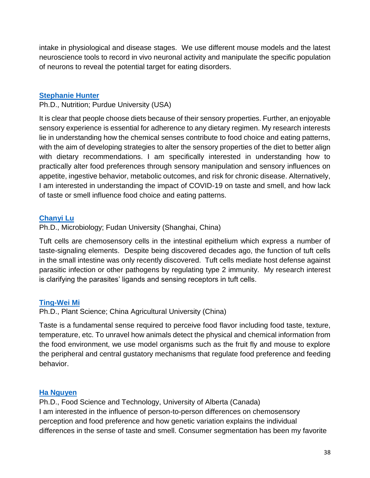intake in physiological and disease stages. We use different mouse models and the latest neuroscience tools to record in vivo neuronal activity and manipulate the specific population of neurons to reveal the potential target for eating disorders.

#### **[Stephanie Hunter](https://monell.org/stephanie-hunter/)**

Ph.D., Nutrition; Purdue University (USA)

It is clear that people choose diets because of their sensory properties. Further, an enjoyable sensory experience is essential for adherence to any dietary regimen. My research interests lie in understanding how the chemical senses contribute to food choice and eating patterns, with the aim of developing strategies to alter the sensory properties of the diet to better align with dietary recommendations. I am specifically interested in understanding how to practically alter food preferences through sensory manipulation and sensory influences on appetite, ingestive behavior, metabolic outcomes, and risk for chronic disease. Alternatively, I am interested in understanding the impact of COVID-19 on taste and smell, and how lack of taste or smell influence food choice and eating patterns.

#### **[Chanyi Lu](https://monell.org/chanyi-lu/)**

Ph.D., Microbiology; Fudan University (Shanghai, China)

Tuft cells are chemosensory cells in the intestinal epithelium which express a number of taste-signaling elements. Despite being discovered decades ago, the function of tuft cells in the small intestine was only recently discovered. Tuft cells mediate host defense against parasitic infection or other pathogens by regulating type 2 immunity. My research interest is clarifying the parasites' ligands and sensing receptors in tuft cells.

#### **[Ting-Wei Mi](https://monell.org/ting-wei-mi/)**

Ph.D., Plant Science; China Agricultural University (China)

Taste is a fundamental sense required to perceive food flavor including food taste, texture, temperature, etc. To unravel how animals detect the physical and chemical information from the food environment, we use model organisms such as the fruit fly and mouse to explore the peripheral and central gustatory mechanisms that regulate food preference and feeding behavior.

#### **[Ha Nguyen](https://monell.org/ha-nguyen/)**

Ph.D., Food Science and Technology, University of Alberta (Canada) I am interested in the influence of person-to-person differences on chemosensory perception and food preference and how genetic variation explains the individual differences in the sense of taste and smell. Consumer segmentation has been my favorite